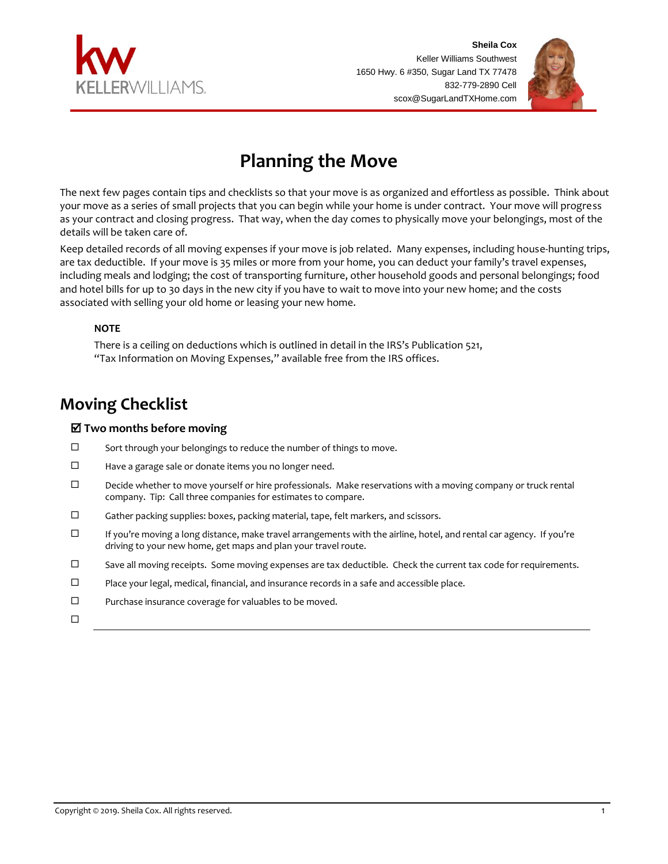



# **Planning the Move**

The next few pages contain tips and checklists so that your move is as organized and effortless as possible. Think about your move as a series of small projects that you can begin while your home is under contract. Your move will progress as your contract and closing progress. That way, when the day comes to physically move your belongings, most of the details will be taken care of.

Keep detailed records of all moving expenses if your move is job related. Many expenses, including house-hunting trips, are tax deductible. If your move is 35 miles or more from your home, you can deduct your family's travel expenses, including meals and lodging; the cost of transporting furniture, other household goods and personal belongings; food and hotel bills for up to 30 days in the new city if you have to wait to move into your new home; and the costs associated with selling your old home or leasing your new home.

### **NOTE**

There is a ceiling on deductions which is outlined in detail in the IRS's Publication 521, "Tax Information on Moving Expenses," available free from the IRS offices.

# **Moving Checklist**

## **Two months before moving**

- $\square$  Sort through your belongings to reduce the number of things to move.
- $\Box$  Have a garage sale or donate items you no longer need.
- $\square$  Decide whether to move yourself or hire professionals. Make reservations with a moving company or truck rental company. Tip: Call three companies for estimates to compare.
- $\square$  Gather packing supplies: boxes, packing material, tape, felt markers, and scissors.
- If you're moving a long distance, make travel arrangements with the airline, hotel, and rental car agency. If you're driving to your new home, get maps and plan your travel route.
- $\square$  Save all moving receipts. Some moving expenses are tax deductible. Check the current tax code for requirements.
- $\square$  Place your legal, medical, financial, and insurance records in a safe and accessible place.
- $\square$  Purchase insurance coverage for valuables to be moved.
- $\Box$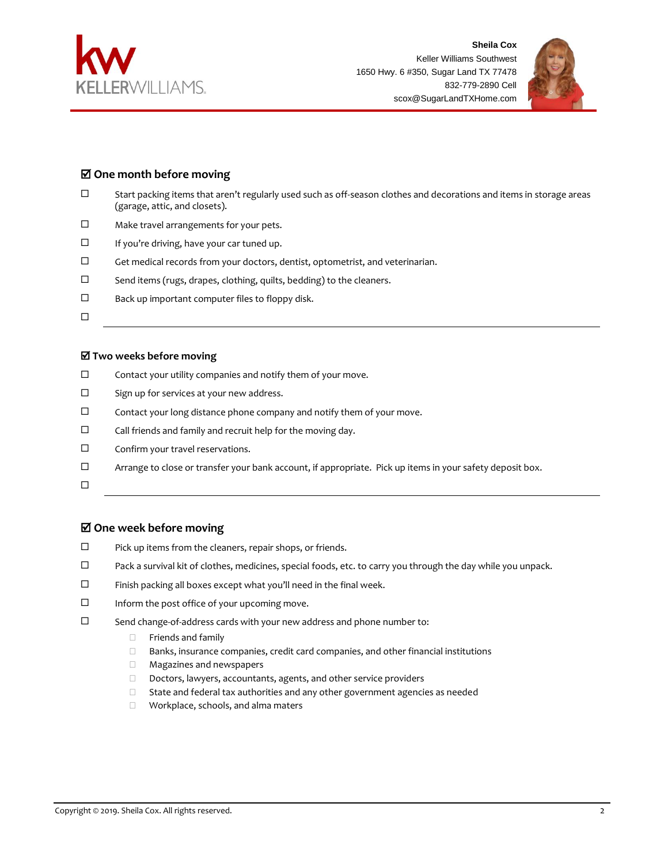



## **One month before moving**

- Start packing items that aren't regularly used such as off-season clothes and decorations and items in storage areas (garage, attic, and closets).
- □ Make travel arrangements for your pets.
- If you're driving, have your car tuned up.
- $\Box$  Get medical records from your doctors, dentist, optometrist, and veterinarian.
- $\square$  Send items (rugs, drapes, clothing, quilts, bedding) to the cleaners.
- $\square$  Back up important computer files to floppy disk.
- $\Box$

#### **Two weeks before moving**

- $\Box$  Contact your utility companies and notify them of your move.
- $\square$  Sign up for services at your new address.
- $\square$  Contact your long distance phone company and notify them of your move.
- $\square$  Call friends and family and recruit help for the moving day.
- $\square$  Confirm your travel reservations.
- Arrange to close or transfer your bank account, if appropriate. Pick up items in your safety deposit box.
- $\Box$

#### **One week before moving**

- $\square$  Pick up items from the cleaners, repair shops, or friends.
- $\Box$  Pack a survival kit of clothes, medicines, special foods, etc. to carry you through the day while you unpack.
- $\square$  Finish packing all boxes except what you'll need in the final week.
- $\Box$  Inform the post office of your upcoming move.
- $\square$  Send change-of-address cards with your new address and phone number to:
	- **Example 1** Friends and family
	- $\Box$  Banks, insurance companies, credit card companies, and other financial institutions
	- Magazines and newspapers
	- Doctors, lawyers, accountants, agents, and other service providers
	- □ State and federal tax authorities and any other government agencies as needed
	- Workplace, schools, and alma maters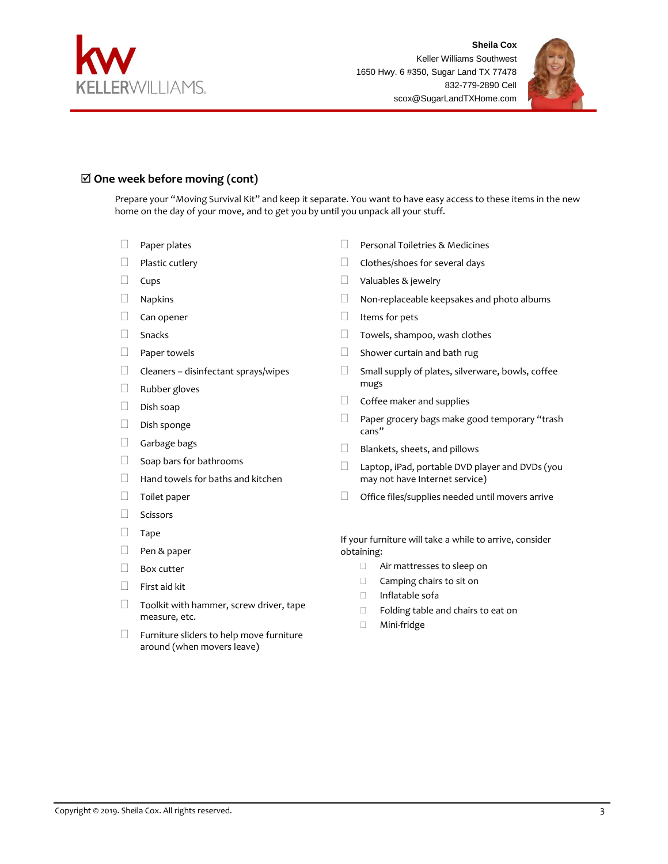



## **One week before moving (cont)**

Prepare your "Moving Survival Kit" and keep it separate. You want to have easy access to these items in the new home on the day of your move, and to get you by until you unpack all your stuff.

- $\Box$  Paper plates
- $\Box$  Plastic cutlery
- $\square$  Cups
- Napkins
- Can opener
- Snacks
- $\Box$  Paper towels
- $\Box$  Cleaners disinfectant sprays/wipes
- Rubber gloves
- $\Box$  Dish soap
- $\Box$  Dish sponge
- Garbage bags
- $\Box$  Soap bars for bathrooms
- $\Box$  Hand towels for baths and kitchen
- $\Box$  Toilet paper
- Scissors
- $\Box$  Tape
- Pen & paper
- $\Box$  Box cutter
- $\Box$  First aid kit
- $\Box$  Toolkit with hammer, screw driver, tape measure, etc.
- $\Box$  Furniture sliders to help move furniture around (when movers leave)
- **Personal Toiletries & Medicines**
- $\Box$  Clothes/shoes for several days
- Valuables & jewelry
- □ Non-replaceable keepsakes and photo albums
- $\Box$  Items for pets
- **Towels, shampoo, wash clothes**
- $\Box$  Shower curtain and bath rug
- $\Box$  Small supply of plates, silverware, bowls, coffee mugs
- $\Box$  Coffee maker and supplies
- $\Box$  Paper grocery bags make good temporary "trash cans"
- $\Box$  Blankets, sheets, and pillows
- $\Box$  Laptop, iPad, portable DVD player and DVDs (you may not have Internet service)
- $\Box$  Office files/supplies needed until movers arrive

If your furniture will take a while to arrive, consider obtaining:

- Air mattresses to sleep on
- □ Camping chairs to sit on
- Inflatable sofa
- □ Folding table and chairs to eat on
- Mini-fridge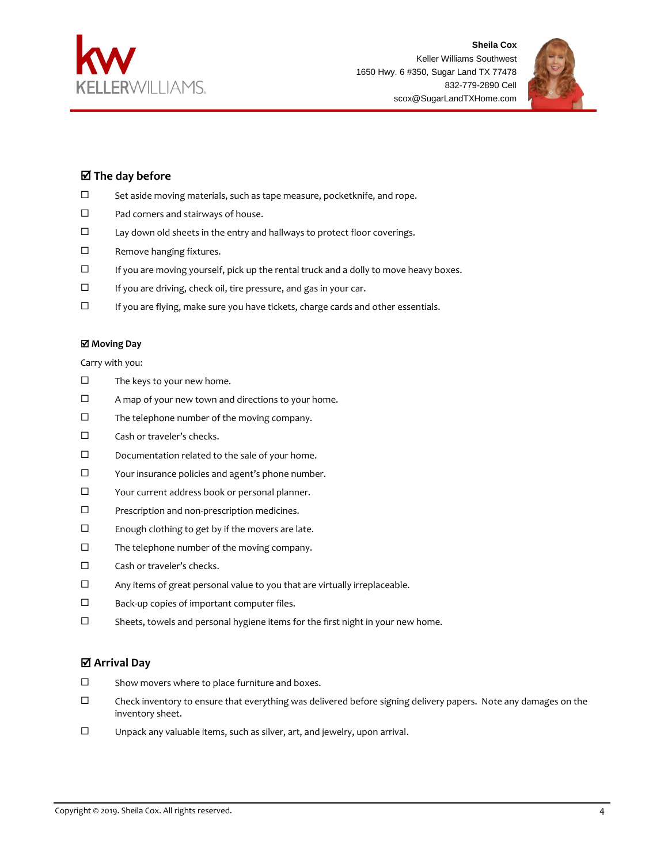



# **The day before**

- $\square$  Set aside moving materials, such as tape measure, pocketknife, and rope.
- $\square$  Pad corners and stairways of house.
- $\square$  Lay down old sheets in the entry and hallways to protect floor coverings.
- □ Remove hanging fixtures.
- $\Box$  If you are moving yourself, pick up the rental truck and a dolly to move heavy boxes.
- $\square$  If you are driving, check oil, tire pressure, and gas in your car.
- $\Box$  If you are flying, make sure you have tickets, charge cards and other essentials.

#### **Moving Day**

Carry with you:

- $\square$  The keys to your new home.
- $\Box$  A map of your new town and directions to your home.
- $\square$  The telephone number of the moving company.
- $\square$  Cash or traveler's checks.
- $\square$  Documentation related to the sale of your home.
- Your insurance policies and agent's phone number.
- Your current address book or personal planner.
- $\square$  Prescription and non-prescription medicines.
- $\square$  Enough clothing to get by if the movers are late.
- $\square$  The telephone number of the moving company.
- $\square$  Cash or traveler's checks.
- $\Box$  Any items of great personal value to you that are virtually irreplaceable.
- □ Back-up copies of important computer files.
- $\square$  Sheets, towels and personal hygiene items for the first night in your new home.

#### **Arrival Day**

- $\square$  Show movers where to place furniture and boxes.
- $\Box$  Check inventory to ensure that everything was delivered before signing delivery papers. Note any damages on the inventory sheet.
- Unpack any valuable items, such as silver, art, and jewelry, upon arrival.